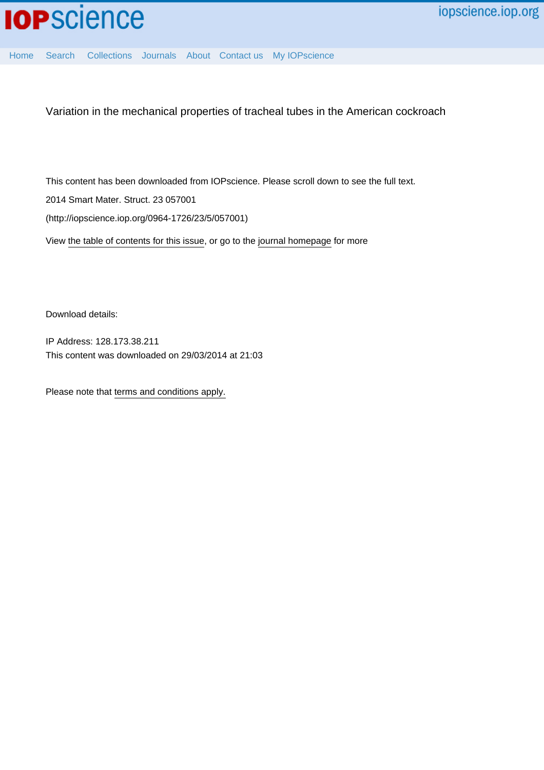

[Home](http://iopscience.iop.org/) [Search](http://iopscience.iop.org/search) [Collections](http://iopscience.iop.org/collections) [Journals](http://iopscience.iop.org/journals) [About](http://iopscience.iop.org/page/aboutioppublishing) [Contact us](http://iopscience.iop.org/contact) [My IOPscience](http://iopscience.iop.org/myiopscience)

Variation in the mechanical properties of tracheal tubes in the American cockroach

This content has been downloaded from IOPscience. Please scroll down to see the full text. 2014 Smart Mater. Struct. 23 057001 (http://iopscience.iop.org/0964-1726/23/5/057001)

View [the table of contents for this issue](http://iopscience.iop.org/0964-1726/23/5), or go to the [journal homepage](http://iopscience.iop.org/0964-1726) for more

Download details:

IP Address: 128.173.38.211 This content was downloaded on 29/03/2014 at 21:03

Please note that [terms and conditions apply.](iopscience.iop.org/page/terms)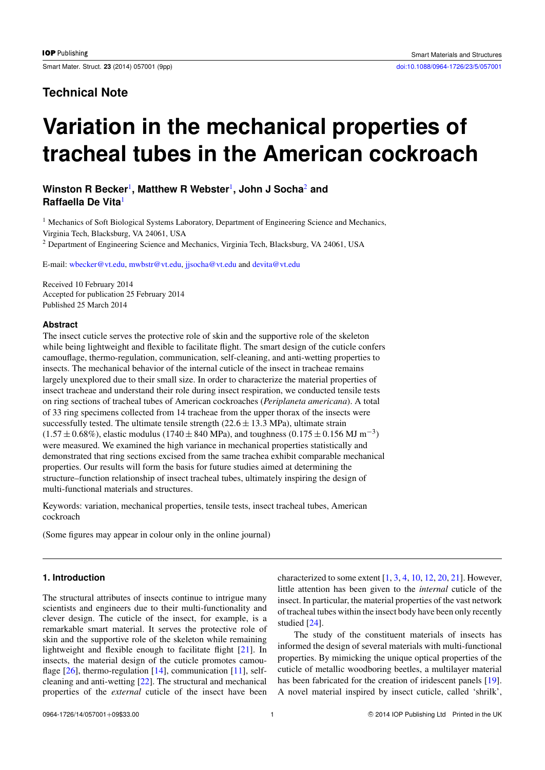## **Technical Note**

# **Variation in the mechanical properties of tracheal tubes in the American cockroach**

### **Winston R Becker**[1](#page-1-0) **, Matthew R Webster**[1](#page-1-0) **, John J Socha**[2](#page-1-1) **and Raffaella De Vita**[1](#page-1-0)

<span id="page-1-0"></span><sup>1</sup> Mechanics of Soft Biological Systems Laboratory, Department of Engineering Science and Mechanics, Virginia Tech, Blacksburg, VA 24061, USA

<span id="page-1-1"></span><sup>2</sup> Department of Engineering Science and Mechanics, Virginia Tech, Blacksburg, VA 24061, USA

E-mail: [wbecker@vt.edu,](mailto:wbecker@vt.edu) [mwbstr@vt.edu,](mailto:mwbstr@vt.edu) [jjsocha@vt.edu](mailto:jjsocha@vt.edu) and [devita@vt.edu](mailto:devita@vt.edu)

Received 10 February 2014 Accepted for publication 25 February 2014 Published 25 March 2014

#### **Abstract**

The insect cuticle serves the protective role of skin and the supportive role of the skeleton while being lightweight and flexible to facilitate flight. The smart design of the cuticle confers camouflage, thermo-regulation, communication, self-cleaning, and anti-wetting properties to insects. The mechanical behavior of the internal cuticle of the insect in tracheae remains largely unexplored due to their small size. In order to characterize the material properties of insect tracheae and understand their role during insect respiration, we conducted tensile tests on ring sections of tracheal tubes of American cockroaches (*Periplaneta americana*). A total of 33 ring specimens collected from 14 tracheae from the upper thorax of the insects were successfully tested. The ultimate tensile strength  $(22.6 \pm 13.3 \text{ MPa})$ , ultimate strain  $(1.57 \pm 0.68\%)$ , elastic modulus (1740  $\pm$  840 MPa), and toughness (0.175  $\pm$  0.156 MJ m<sup>-3</sup>) were measured. We examined the high variance in mechanical properties statistically and demonstrated that ring sections excised from the same trachea exhibit comparable mechanical properties. Our results will form the basis for future studies aimed at determining the structure–function relationship of insect tracheal tubes, ultimately inspiring the design of multi-functional materials and structures.

Keywords: variation, mechanical properties, tensile tests, insect tracheal tubes, American cockroach

(Some figures may appear in colour only in the online journal)

#### **1. Introduction**

The structural attributes of insects continue to intrigue many scientists and engineers due to their multi-functionality and clever design. The cuticle of the insect, for example, is a remarkable smart material. It serves the protective role of skin and the supportive role of the skeleton while remaining lightweight and flexible enough to facilitate flight [\[21\]](#page-9-0). In insects, the material design of the cuticle promotes camou-flage [\[26\]](#page-9-1), thermo-regulation [\[14\]](#page-9-2), communication [\[11\]](#page-9-3), selfcleaning and anti-wetting [\[22\]](#page-9-4). The structural and mechanical properties of the *external* cuticle of the insect have been characterized to some extent  $[1, 3, 4, 10, 12, 20, 21]$  $[1, 3, 4, 10, 12, 20, 21]$  $[1, 3, 4, 10, 12, 20, 21]$  $[1, 3, 4, 10, 12, 20, 21]$  $[1, 3, 4, 10, 12, 20, 21]$  $[1, 3, 4, 10, 12, 20, 21]$  $[1, 3, 4, 10, 12, 20, 21]$  $[1, 3, 4, 10, 12, 20, 21]$  $[1, 3, 4, 10, 12, 20, 21]$  $[1, 3, 4, 10, 12, 20, 21]$  $[1, 3, 4, 10, 12, 20, 21]$  $[1, 3, 4, 10, 12, 20, 21]$  $[1, 3, 4, 10, 12, 20, 21]$ . However, little attention has been given to the *internal* cuticle of the insect. In particular, the material properties of the vast network of tracheal tubes within the insect body have been only recently studied [\[24\]](#page-9-10).

The study of the constituent materials of insects has informed the design of several materials with multi-functional properties. By mimicking the unique optical properties of the cuticle of metallic woodboring beetles, a multilayer material has been fabricated for the creation of iridescent panels [\[19\]](#page-9-11). A novel material inspired by insect cuticle, called 'shrilk',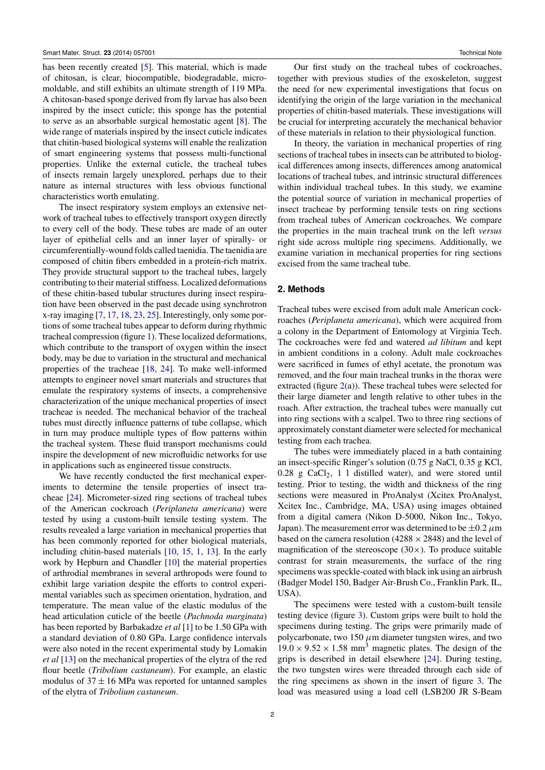has been recently created [\[5\]](#page-9-12). This material, which is made of chitosan, is clear, biocompatible, biodegradable, micromoldable, and still exhibits an ultimate strength of 119 MPa. A chitosan-based sponge derived from fly larvae has also been inspired by the insect cuticle; this sponge has the potential to serve as an absorbable surgical hemostatic agent [\[8\]](#page-9-13). The wide range of materials inspired by the insect cuticle indicates that chitin-based biological systems will enable the realization of smart engineering systems that possess multi-functional properties. Unlike the external cuticle, the tracheal tubes of insects remain largely unexplored, perhaps due to their nature as internal structures with less obvious functional characteristics worth emulating.

The insect respiratory system employs an extensive network of tracheal tubes to effectively transport oxygen directly to every cell of the body. These tubes are made of an outer layer of epithelial cells and an inner layer of spirally- or circumferentially-wound folds called taenidia. The taenidia are composed of chitin fibers embedded in a protein-rich matrix. They provide structural support to the tracheal tubes, largely contributing to their material stiffness. Localized deformations of these chitin-based tubular structures during insect respiration have been observed in the past decade using synchrotron x-ray imaging [\[7,](#page-9-14) [17,](#page-9-15) [18,](#page-9-16) [23,](#page-9-17) [25\]](#page-9-18). Interestingly, only some portions of some tracheal tubes appear to deform during rhythmic tracheal compression (figure [1\)](#page-3-0). These localized deformations, which contribute to the transport of oxygen within the insect body, may be due to variation in the structural and mechanical properties of the tracheae [\[18,](#page-9-16) [24\]](#page-9-10). To make well-informed attempts to engineer novel smart materials and structures that emulate the respiratory systems of insects, a comprehensive characterization of the unique mechanical properties of insect tracheae is needed. The mechanical behavior of the tracheal tubes must directly influence patterns of tube collapse, which in turn may produce multiple types of flow patterns within the tracheal system. These fluid transport mechanisms could inspire the development of new microfluidic networks for use in applications such as engineered tissue constructs.

We have recently conducted the first mechanical experiments to determine the tensile properties of insect tracheae [\[24\]](#page-9-10). Micrometer-sized ring sections of tracheal tubes of the American cockroach (*Periplaneta americana*) were tested by using a custom-built tensile testing system. The results revealed a large variation in mechanical properties that has been commonly reported for other biological materials, including chitin-based materials [\[10,](#page-9-7) [15,](#page-9-19) [1,](#page-8-0) [13\]](#page-9-20). In the early work by Hepburn and Chandler [\[10\]](#page-9-7) the material properties of arthrodial membranes in several arthropods were found to exhibit large variation despite the efforts to control experimental variables such as specimen orientation, hydration, and temperature. The mean value of the elastic modulus of the head articulation cuticle of the beetle (*Pachnoda marginata*) has been reported by Barbakadze *et al* [\[1\]](#page-8-0) to be 1.50 GPa with a standard deviation of 0.80 GPa. Large confidence intervals were also noted in the recent experimental study by Lomakin *et al* [\[13\]](#page-9-20) on the mechanical properties of the elytra of the red flour beetle (*Tribolium castaneum*). For example, an elastic modulus of  $37 \pm 16$  MPa was reported for untanned samples of the elytra of *Tribolium castaneum*.

Our first study on the tracheal tubes of cockroaches, together with previous studies of the exoskeleton, suggest the need for new experimental investigations that focus on identifying the origin of the large variation in the mechanical properties of chitin-based materials. These investigations will be crucial for interpreting accurately the mechanical behavior of these materials in relation to their physiological function.

In theory, the variation in mechanical properties of ring sections of tracheal tubes in insects can be attributed to biological differences among insects, differences among anatomical locations of tracheal tubes, and intrinsic structural differences within individual tracheal tubes. In this study, we examine the potential source of variation in mechanical properties of insect tracheae by performing tensile tests on ring sections from tracheal tubes of American cockroaches. We compare the properties in the main tracheal trunk on the left *versus* right side across multiple ring specimens. Additionally, we examine variation in mechanical properties for ring sections excised from the same tracheal tube.

#### **2. Methods**

Tracheal tubes were excised from adult male American cockroaches (*Periplaneta americana*), which were acquired from a colony in the Department of Entomology at Virginia Tech. The cockroaches were fed and watered *ad libitum* and kept in ambient conditions in a colony. Adult male cockroaches were sacrificed in fumes of ethyl acetate, the pronotum was removed, and the four main tracheal trunks in the thorax were extracted (figure  $2(a)$  $2(a)$ ). These tracheal tubes were selected for their large diameter and length relative to other tubes in the roach. After extraction, the tracheal tubes were manually cut into ring sections with a scalpel. Two to three ring sections of approximately constant diameter were selected for mechanical testing from each trachea.

The tubes were immediately placed in a bath containing an insect-specific Ringer's solution (0.75 g NaCl, 0.35 g KCl,  $0.28$  g CaCl<sub>2</sub>, 1 l distilled water), and were stored until testing. Prior to testing, the width and thickness of the ring sections were measured in ProAnalyst (Xcitex ProAnalyst, Xcitex Inc., Cambridge, MA, USA) using images obtained from a digital camera (Nikon D-5000, Nikon Inc., Tokyo, Japan). The measurement error was determined to be  $\pm 0.2 \mu$ m based on the camera resolution (4288  $\times$  2848) and the level of magnification of the stereoscope  $(30\times)$ . To produce suitable contrast for strain measurements, the surface of the ring specimens was speckle-coated with black ink using an airbrush (Badger Model 150, Badger Air-Brush Co., Franklin Park, IL, USA).

The specimens were tested with a custom-built tensile testing device (figure [3\)](#page-4-0). Custom grips were built to hold the specimens during testing. The grips were primarily made of polycarbonate, two 150  $\mu$ m diameter tungsten wires, and two  $19.0 \times 9.52 \times 1.58$  mm<sup>3</sup> magnetic plates. The design of the grips is described in detail elsewhere [\[24\]](#page-9-10). During testing, the two tungsten wires were threaded through each side of the ring specimens as shown in the insert of figure [3.](#page-4-0) The load was measured using a load cell (LSB200 JR S-Beam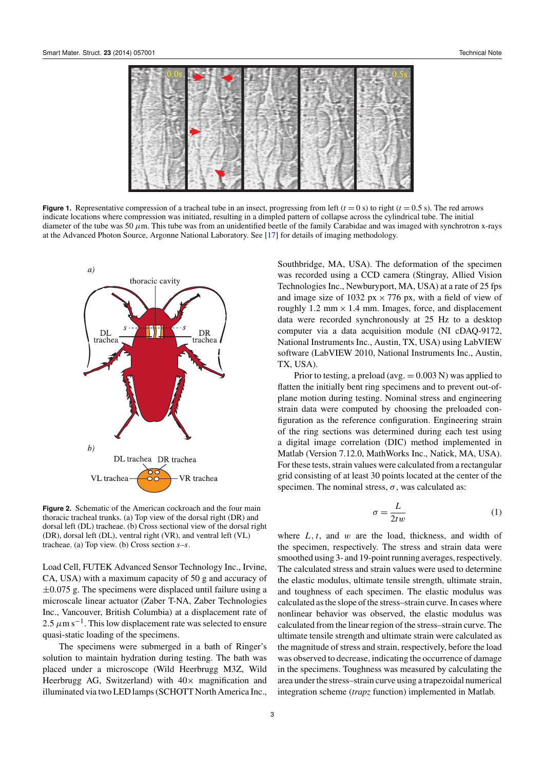<span id="page-3-0"></span>

**Figure 1.** Representative compression of a tracheal tube in an insect, progressing from left  $(t = 0 s)$  to right  $(t = 0.5 s)$ . The red arrows indicate locations where compression was initiated, resulting in a dimpled pattern of collapse across the cylindrical tube. The initial diameter of the tube was 50  $\mu$ m. This tube was from an unidentified beetle of the family Carabidae and was imaged with synchrotron x-rays at the Advanced Photon Source, Argonne National Laboratory. See [\[17\]](#page-9-15) for details of imaging methodology.

<span id="page-3-1"></span>

**Figure 2.** Schematic of the American cockroach and the four main thoracic tracheal trunks. (a) Top view of the dorsal right (DR) and dorsal left (DL) tracheae. (b) Cross sectional view of the dorsal right (DR), dorsal left (DL), ventral right (VR), and ventral left (VL) tracheae. (a) Top view. (b) Cross section *s*–*s*.

Load Cell, FUTEK Advanced Sensor Technology Inc., Irvine, CA, USA) with a maximum capacity of 50 g and accuracy of  $\pm 0.075$  g. The specimens were displaced until failure using a microscale linear actuator (Zaber T-NA, Zaber Technologies Inc., Vancouver, British Columbia) at a displacement rate of 2.5  $\mu$ m s<sup>-1</sup>. This low displacement rate was selected to ensure quasi-static loading of the specimens.

The specimens were submerged in a bath of Ringer's solution to maintain hydration during testing. The bath was placed under a microscope (Wild Heerbrugg M3Z, Wild Heerbrugg AG, Switzerland) with  $40\times$  magnification and illuminated via two LED lamps (SCHOTT North America Inc.,

Southbridge, MA, USA). The deformation of the specimen was recorded using a CCD camera (Stingray, Allied Vision Technologies Inc., Newburyport, MA, USA) at a rate of 25 fps and image size of 1032 px  $\times$  776 px, with a field of view of roughly 1.2 mm  $\times$  1.4 mm. Images, force, and displacement data were recorded synchronously at 25 Hz to a desktop computer via a data acquisition module (NI cDAQ-9172, National Instruments Inc., Austin, TX, USA) using LabVIEW software (LabVIEW 2010, National Instruments Inc., Austin, TX, USA).

Prior to testing, a preload (avg.  $= 0.003$  N) was applied to flatten the initially bent ring specimens and to prevent out-ofplane motion during testing. Nominal stress and engineering strain data were computed by choosing the preloaded configuration as the reference configuration. Engineering strain of the ring sections was determined during each test using a digital image correlation (DIC) method implemented in Matlab (Version 7.12.0, MathWorks Inc., Natick, MA, USA). For these tests, strain values were calculated from a rectangular grid consisting of at least 30 points located at the center of the specimen. The nominal stress,  $\sigma$ , was calculated as:

$$
\sigma = \frac{L}{2tw} \tag{1}
$$

where  $L, t$ , and  $w$  are the load, thickness, and width of the specimen, respectively. The stress and strain data were smoothed using 3- and 19-point running averages, respectively. The calculated stress and strain values were used to determine the elastic modulus, ultimate tensile strength, ultimate strain, and toughness of each specimen. The elastic modulus was calculated as the slope of the stress–strain curve. In cases where nonlinear behavior was observed, the elastic modulus was calculated from the linear region of the stress–strain curve. The ultimate tensile strength and ultimate strain were calculated as the magnitude of stress and strain, respectively, before the load was observed to decrease, indicating the occurrence of damage in the specimens. Toughness was measured by calculating the area under the stress–strain curve using a trapezoidal numerical integration scheme (*trapz* function) implemented in Matlab.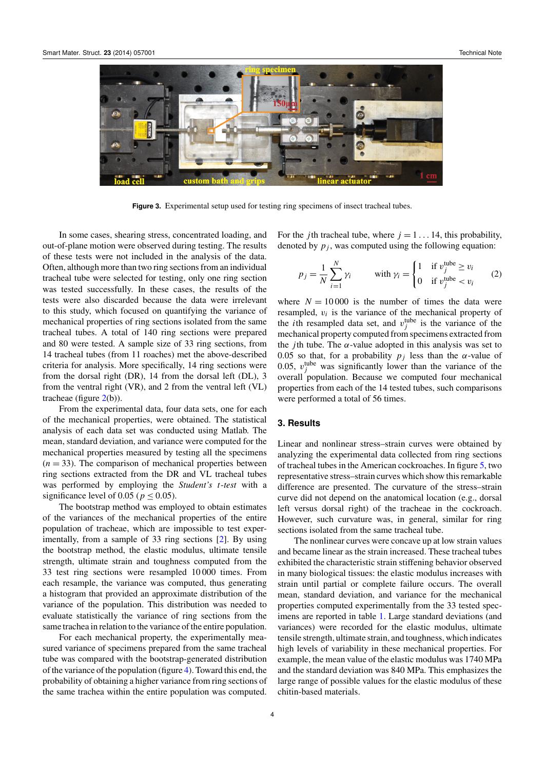<span id="page-4-0"></span>

Figure 3. Experimental setup used for testing ring specimens of insect tracheal tubes.

In some cases, shearing stress, concentrated loading, and out-of-plane motion were observed during testing. The results of these tests were not included in the analysis of the data. Often, although more than two ring sections from an individual tracheal tube were selected for testing, only one ring section was tested successfully. In these cases, the results of the tests were also discarded because the data were irrelevant to this study, which focused on quantifying the variance of mechanical properties of ring sections isolated from the same tracheal tubes. A total of 140 ring sections were prepared and 80 were tested. A sample size of 33 ring sections, from 14 tracheal tubes (from 11 roaches) met the above-described criteria for analysis. More specifically, 14 ring sections were from the dorsal right (DR), 14 from the dorsal left (DL), 3 from the ventral right (VR), and 2 from the ventral left (VL) tracheae (figure [2\(](#page-3-1)b)).

From the experimental data, four data sets, one for each of the mechanical properties, were obtained. The statistical analysis of each data set was conducted using Matlab. The mean, standard deviation, and variance were computed for the mechanical properties measured by testing all the specimens  $(n = 33)$ . The comparison of mechanical properties between ring sections extracted from the DR and VL tracheal tubes was performed by employing the *Student's t*-*test* with a significance level of 0.05 ( $p \leq 0.05$ ).

The bootstrap method was employed to obtain estimates of the variances of the mechanical properties of the entire population of tracheae, which are impossible to test experimentally, from a sample of 33 ring sections [\[2\]](#page-9-21). By using the bootstrap method, the elastic modulus, ultimate tensile strength, ultimate strain and toughness computed from the 33 test ring sections were resampled 10 000 times. From each resample, the variance was computed, thus generating a histogram that provided an approximate distribution of the variance of the population. This distribution was needed to evaluate statistically the variance of ring sections from the same trachea in relation to the variance of the entire population.

For each mechanical property, the experimentally measured variance of specimens prepared from the same tracheal tube was compared with the bootstrap-generated distribution of the variance of the population (figure [4\)](#page-5-0). Toward this end, the probability of obtaining a higher variance from ring sections of the same trachea within the entire population was computed. For the *j*th tracheal tube, where  $j = 1 \dots 14$ , this probability, denoted by  $p_j$ , was computed using the following equation:

<span id="page-4-1"></span>
$$
p_j = \frac{1}{N} \sum_{i=1}^{N} \gamma_i \qquad \text{with } \gamma_i = \begin{cases} 1 & \text{if } v_j^{\text{tube}} \ge v_i \\ 0 & \text{if } v_j^{\text{tube}} < v_i \end{cases} \tag{2}
$$

where  $N = 10000$  is the number of times the data were resampled,  $v_i$  is the variance of the mechanical property of the *i*th resampled data set, and  $v_j^{\text{tube}}$  is the variance of the mechanical property computed from specimens extracted from the *j*th tube. The  $\alpha$ -value adopted in this analysis was set to 0.05 so that, for a probability  $p_j$  less than the  $\alpha$ -value of 0.05,  $v_j^{\text{tube}}$  was significantly lower than the variance of the overall population. Because we computed four mechanical properties from each of the 14 tested tubes, such comparisons were performed a total of 56 times.

#### **3. Results**

Linear and nonlinear stress–strain curves were obtained by analyzing the experimental data collected from ring sections of tracheal tubes in the American cockroaches. In figure [5,](#page-5-1) two representative stress–strain curves which show this remarkable difference are presented. The curvature of the stress–strain curve did not depend on the anatomical location (e.g., dorsal left versus dorsal right) of the tracheae in the cockroach. However, such curvature was, in general, similar for ring sections isolated from the same tracheal tube.

The nonlinear curves were concave up at low strain values and became linear as the strain increased. These tracheal tubes exhibited the characteristic strain stiffening behavior observed in many biological tissues: the elastic modulus increases with strain until partial or complete failure occurs. The overall mean, standard deviation, and variance for the mechanical properties computed experimentally from the 33 tested specimens are reported in table [1.](#page-5-2) Large standard deviations (and variances) were recorded for the elastic modulus, ultimate tensile strength, ultimate strain, and toughness, which indicates high levels of variability in these mechanical properties. For example, the mean value of the elastic modulus was 1740 MPa and the standard deviation was 840 MPa. This emphasizes the large range of possible values for the elastic modulus of these chitin-based materials.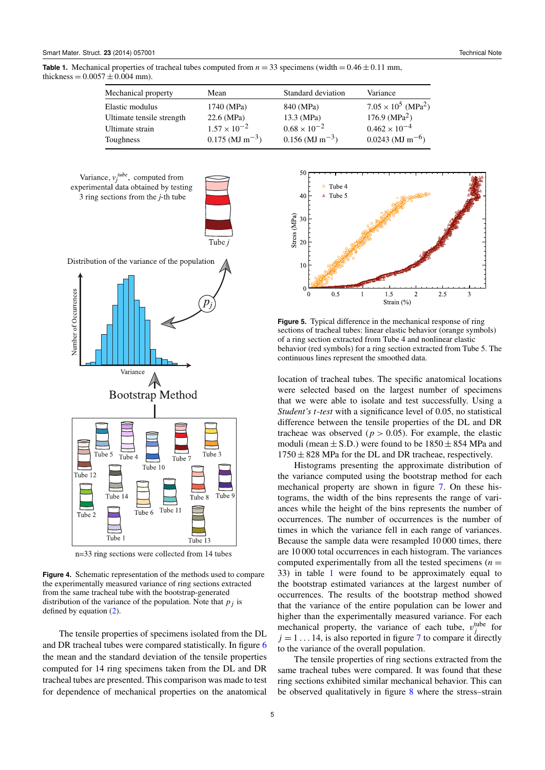<span id="page-5-2"></span>**Table 1.** Mechanical properties of tracheal tubes computed from  $n = 33$  specimens (width  $= 0.46 \pm 0.11$  mm, thickness =  $0.0057 \pm 0.004$  mm).

| Mechanical property       | Mean                          | Standard deviation            | Variance                               |
|---------------------------|-------------------------------|-------------------------------|----------------------------------------|
| Elastic modulus           | 1740 (MPa)                    | 840 (MPa)                     | $7.05 \times 10^5$ (MPa <sup>2</sup> ) |
| Ultimate tensile strength | $22.6$ (MPa)                  | 13.3 (MPa)                    | 176.9 ( $MPa2$ )                       |
| Ultimate strain           | $1.57 \times 10^{-2}$         | $0.68 \times 10^{-2}$         | $0.462 \times 10^{-4}$                 |
| Toughness                 | $0.175$ (MJ m <sup>-3</sup> ) | $0.156$ (MJ m <sup>-3</sup> ) | $0.0243$ (MJ m <sup>-6</sup> )         |

<span id="page-5-0"></span>



Distribution of the variance of the population



n=33 ring sections were collected from 14 tubes

**Figure 4.** Schematic representation of the methods used to compare the experimentally measured variance of ring sections extracted from the same tracheal tube with the bootstrap-generated distribution of the variance of the population. Note that  $p_j$  is defined by equation [\(2\)](#page-4-1).

The tensile properties of specimens isolated from the DL and DR tracheal tubes were compared statistically. In figure [6](#page-6-0) the mean and the standard deviation of the tensile properties computed for 14 ring specimens taken from the DL and DR tracheal tubes are presented. This comparison was made to test for dependence of mechanical properties on the anatomical

<span id="page-5-1"></span>

**Figure 5.** Typical difference in the mechanical response of ring sections of tracheal tubes: linear elastic behavior (orange symbols) of a ring section extracted from Tube 4 and nonlinear elastic behavior (red symbols) for a ring section extracted from Tube 5. The continuous lines represent the smoothed data.

location of tracheal tubes. The specific anatomical locations were selected based on the largest number of specimens that we were able to isolate and test successfully. Using a *Student's t*-*test* with a significance level of 0.05, no statistical difference between the tensile properties of the DL and DR tracheae was observed ( $p > 0.05$ ). For example, the elastic moduli (mean  $\pm$  S.D.) were found to be 1850  $\pm$  854 MPa and  $1750 \pm 828$  MPa for the DL and DR tracheae, respectively.

Histograms presenting the approximate distribution of the variance computed using the bootstrap method for each mechanical property are shown in figure [7.](#page-6-1) On these histograms, the width of the bins represents the range of variances while the height of the bins represents the number of occurrences. The number of occurrences is the number of times in which the variance fell in each range of variances. Because the sample data were resampled 10 000 times, there are 10 000 total occurrences in each histogram. The variances computed experimentally from all the tested specimens  $(n =$ 33) in table [1](#page-5-2) were found to be approximately equal to the bootstrap estimated variances at the largest number of occurrences. The results of the bootstrap method showed that the variance of the entire population can be lower and higher than the experimentally measured variance. For each mechanical property, the variance of each tube,  $v_j^{\text{tube}}$  for  $j = 1 \dots 14$ , is also reported in figure [7](#page-6-1) to compare it directly to the variance of the overall population.

The tensile properties of ring sections extracted from the same tracheal tubes were compared. It was found that these ring sections exhibited similar mechanical behavior. This can be observed qualitatively in figure [8](#page-7-0) where the stress–strain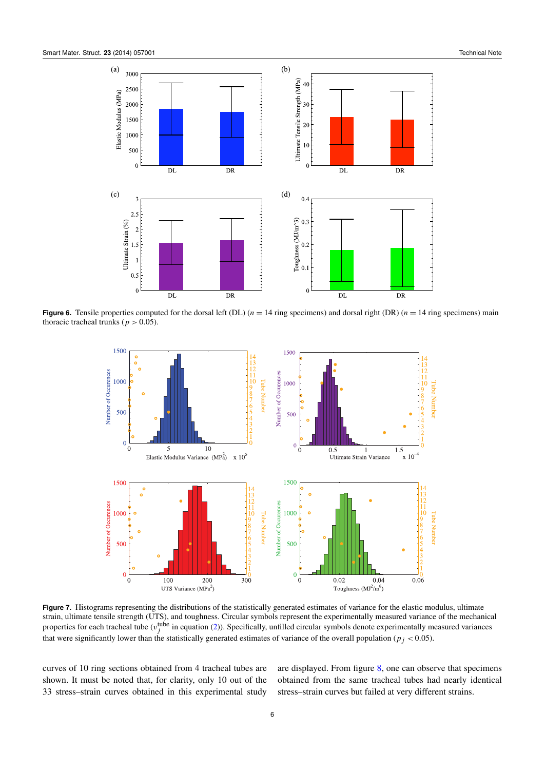<span id="page-6-0"></span>

<span id="page-6-1"></span>**Figure 6.** Tensile properties computed for the dorsal left (DL)  $(n = 14$  ring specimens) and dorsal right (DR)  $(n = 14$  ring specimens) main thoracic tracheal trunks ( $p > 0.05$ ).



Figure 7. Histograms representing the distributions of the statistically generated estimates of variance for the elastic modulus, ultimate strain, ultimate tensile strength (UTS), and toughness. Circular symbols represent the experimentally measured variance of the mechanical properties for each tracheal tube ( $v_j^{\text{tube}}$  in equation [\(2\)](#page-4-1)). Specifically, unfilled circular symbols denote experimentally measured variances that were significantly lower than the statistically generated estimates of variance of the overall population ( $p_j < 0.05$ ).

curves of 10 ring sections obtained from 4 tracheal tubes are shown. It must be noted that, for clarity, only 10 out of the 33 stress–strain curves obtained in this experimental study

are displayed. From figure [8,](#page-7-0) one can observe that specimens obtained from the same tracheal tubes had nearly identical stress–strain curves but failed at very different strains.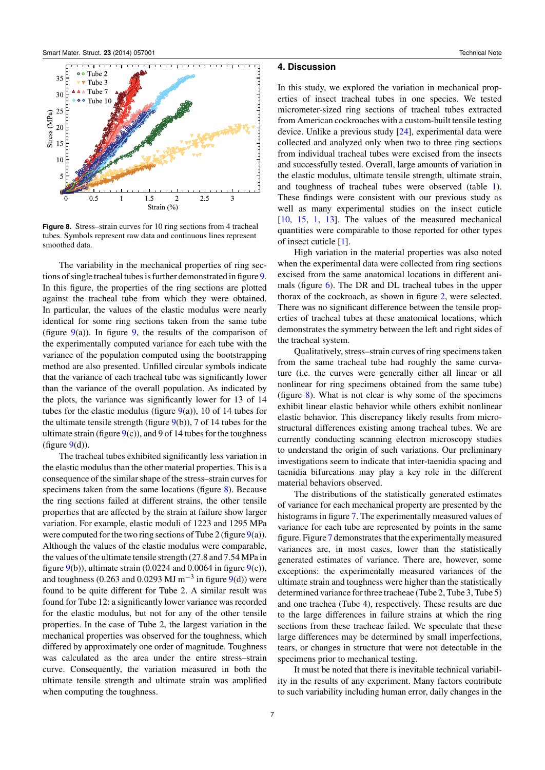<span id="page-7-0"></span>

**Figure 8.** Stress–strain curves for 10 ring sections from 4 tracheal tubes. Symbols represent raw data and continuous lines represent smoothed data.

The variability in the mechanical properties of ring sections of single tracheal tubes is further demonstrated in figure [9.](#page-8-1) In this figure, the properties of the ring sections are plotted against the tracheal tube from which they were obtained. In particular, the values of the elastic modulus were nearly identical for some ring sections taken from the same tube (figure  $9(a)$  $9(a)$ ). In figure [9,](#page-8-1) the results of the comparison of the experimentally computed variance for each tube with the variance of the population computed using the bootstrapping method are also presented. Unfilled circular symbols indicate that the variance of each tracheal tube was significantly lower than the variance of the overall population. As indicated by the plots, the variance was significantly lower for 13 of 14 tubes for the elastic modulus (figure  $9(a)$  $9(a)$ ), 10 of 14 tubes for the ultimate tensile strength (figure  $9(b)$  $9(b)$ ), 7 of 14 tubes for the ultimate strain (figure  $9(c)$  $9(c)$ ), and 9 of 14 tubes for the toughness (figure  $9(d)$  $9(d)$ ).

The tracheal tubes exhibited significantly less variation in the elastic modulus than the other material properties. This is a consequence of the similar shape of the stress–strain curves for specimens taken from the same locations (figure [8\)](#page-7-0). Because the ring sections failed at different strains, the other tensile properties that are affected by the strain at failure show larger variation. For example, elastic moduli of 1223 and 1295 MPa were computed for the two ring sections of Tube 2 (figure  $9(a)$  $9(a)$ ). Although the values of the elastic modulus were comparable, the values of the ultimate tensile strength (27.8 and 7.54 MPa in figure  $9(b)$  $9(b)$ ), ultimate strain (0.0224 and 0.0064 in figure  $9(c)$ ), and toughness (0.263 and 0.0293 MJ m<sup>-3</sup> in figure  $9(d)$  $9(d)$ ) were found to be quite different for Tube 2. A similar result was found for Tube 12: a significantly lower variance was recorded for the elastic modulus, but not for any of the other tensile properties. In the case of Tube 2, the largest variation in the mechanical properties was observed for the toughness, which differed by approximately one order of magnitude. Toughness was calculated as the area under the entire stress–strain curve. Consequently, the variation measured in both the ultimate tensile strength and ultimate strain was amplified when computing the toughness.

#### **4. Discussion**

In this study, we explored the variation in mechanical properties of insect tracheal tubes in one species. We tested micrometer-sized ring sections of tracheal tubes extracted from American cockroaches with a custom-built tensile testing device. Unlike a previous study [\[24\]](#page-9-10), experimental data were collected and analyzed only when two to three ring sections from individual tracheal tubes were excised from the insects and successfully tested. Overall, large amounts of variation in the elastic modulus, ultimate tensile strength, ultimate strain, and toughness of tracheal tubes were observed (table [1\)](#page-5-2). These findings were consistent with our previous study as well as many experimental studies on the insect cuticle [\[10,](#page-9-7) [15,](#page-9-19) [1,](#page-8-0) [13\]](#page-9-20). The values of the measured mechanical quantities were comparable to those reported for other types of insect cuticle [\[1\]](#page-8-0).

High variation in the material properties was also noted when the experimental data were collected from ring sections excised from the same anatomical locations in different animals (figure [6\)](#page-6-0). The DR and DL tracheal tubes in the upper thorax of the cockroach, as shown in figure [2,](#page-3-1) were selected. There was no significant difference between the tensile properties of tracheal tubes at these anatomical locations, which demonstrates the symmetry between the left and right sides of the tracheal system.

Qualitatively, stress–strain curves of ring specimens taken from the same tracheal tube had roughly the same curvature (i.e. the curves were generally either all linear or all nonlinear for ring specimens obtained from the same tube) (figure  $8$ ). What is not clear is why some of the specimens exhibit linear elastic behavior while others exhibit nonlinear elastic behavior. This discrepancy likely results from microstructural differences existing among tracheal tubes. We are currently conducting scanning electron microscopy studies to understand the origin of such variations. Our preliminary investigations seem to indicate that inter-taenidia spacing and taenidia bifurcations may play a key role in the different material behaviors observed.

The distributions of the statistically generated estimates of variance for each mechanical property are presented by the histograms in figure [7.](#page-6-1) The experimentally measured values of variance for each tube are represented by points in the same figure. Figure [7](#page-6-1) demonstrates that the experimentally measured variances are, in most cases, lower than the statistically generated estimates of variance. There are, however, some exceptions: the experimentally measured variances of the ultimate strain and toughness were higher than the statistically determined variance for three tracheae (Tube 2, Tube 3, Tube 5) and one trachea (Tube 4), respectively. These results are due to the large differences in failure strains at which the ring sections from these tracheae failed. We speculate that these large differences may be determined by small imperfections, tears, or changes in structure that were not detectable in the specimens prior to mechanical testing.

It must be noted that there is inevitable technical variability in the results of any experiment. Many factors contribute to such variability including human error, daily changes in the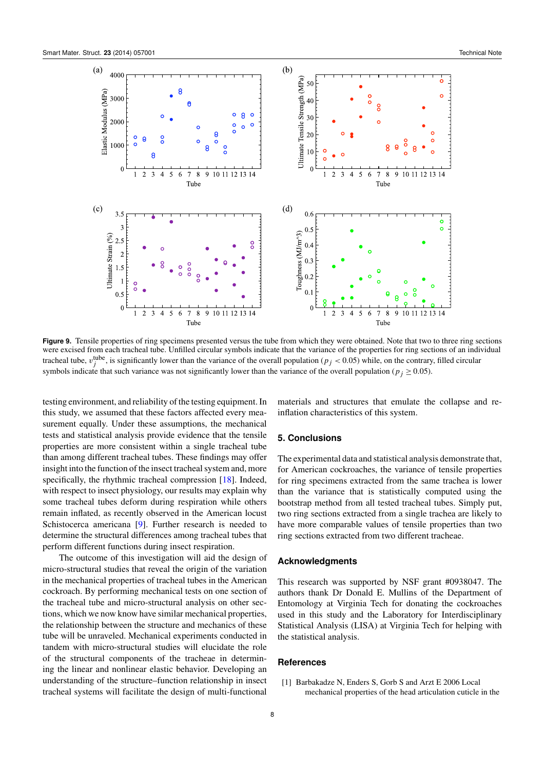<span id="page-8-1"></span>

Figure 9. Tensile properties of ring specimens presented versus the tube from which they were obtained. Note that two to three ring sections were excised from each tracheal tube. Unfilled circular symbols indicate that the variance of the properties for ring sections of an individual tracheal tube,  $v_j^{\text{tube}}$ , is significantly lower than the variance of the overall population ( $p_j < 0.05$ ) while, on the contrary, filled circular symbols indicate that such variance was not significantly lower than the variance of the overall population ( $p_i \ge 0.05$ ).

testing environment, and reliability of the testing equipment. In this study, we assumed that these factors affected every measurement equally. Under these assumptions, the mechanical tests and statistical analysis provide evidence that the tensile properties are more consistent within a single tracheal tube than among different tracheal tubes. These findings may offer insight into the function of the insect tracheal system and, more specifically, the rhythmic tracheal compression [\[18\]](#page-9-16). Indeed, with respect to insect physiology, our results may explain why some tracheal tubes deform during respiration while others remain inflated, as recently observed in the American locust Schistocerca americana [\[9\]](#page-9-22). Further research is needed to determine the structural differences among tracheal tubes that perform different functions during insect respiration.

The outcome of this investigation will aid the design of micro-structural studies that reveal the origin of the variation in the mechanical properties of tracheal tubes in the American cockroach. By performing mechanical tests on one section of the tracheal tube and micro-structural analysis on other sections, which we now know have similar mechanical properties, the relationship between the structure and mechanics of these tube will be unraveled. Mechanical experiments conducted in tandem with micro-structural studies will elucidate the role of the structural components of the tracheae in determining the linear and nonlinear elastic behavior. Developing an understanding of the structure–function relationship in insect tracheal systems will facilitate the design of multi-functional

materials and structures that emulate the collapse and reinflation characteristics of this system.

#### **5. Conclusions**

The experimental data and statistical analysis demonstrate that, for American cockroaches, the variance of tensile properties for ring specimens extracted from the same trachea is lower than the variance that is statistically computed using the bootstrap method from all tested tracheal tubes. Simply put, two ring sections extracted from a single trachea are likely to have more comparable values of tensile properties than two ring sections extracted from two different tracheae.

#### **Acknowledgments**

This research was supported by NSF grant #0938047. The authors thank Dr Donald E. Mullins of the Department of Entomology at Virginia Tech for donating the cockroaches used in this study and the Laboratory for Interdisciplinary Statistical Analysis (LISA) at Virginia Tech for helping with the statistical analysis.

#### **References**

<span id="page-8-0"></span>[1] Barbakadze N, Enders S, Gorb S and Arzt E 2006 Local mechanical properties of the head articulation cuticle in the